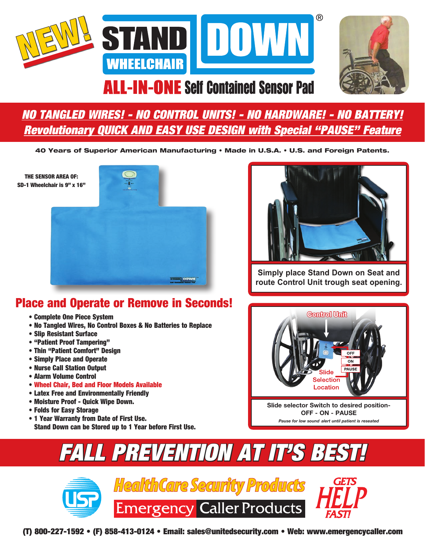



## **ALL-IN-ONE Self Contained Sensor Pad**

## *NO TANGLED WIRES! - NO CONTROL UNITS! - NO HARDWARE! - NO BATTERY! Revolutionary QUICK AND EASY USE DESIGN with Special "PAUSE" Feature*

40 Years of Superior American Manufacturing • Made in U.S.A. • U.S. and Foreign Patents.

THE SENSOR AREA OF: SD-1 Wheelchair is 9" x 16"





**Simply place Stand Down on Seat and route Control Unit trough seat opening.**

### Place and Operate or Remove in Seconds!

- Complete One Piece System
- No Tangled Wires, No Control Boxes & No Batteries to Replace
- Slip Resistant Surface
- "Patient Proof Tampering"
- Thin "Patient Comfort" Design
- Simply Place and Operate
- Nurse Call Station Output
- Alarm Volume Control
- Wheel Chair, Bed and Floor Models Available
- Latex Free and Environmentally Friendly
- Moisture Proof Quick Wipe Down.
- Folds for Easy Storage
- 1 Year Warranty from Date of First Use. Stand Down can be Stored up to 1 Year before First Use.



**Slide selector Switch to desired position-OFF - ON - PAUSE** *Pause for low sound alert until patient is reseated*

# *FALL PREVENTION AT IT'S BEST!*